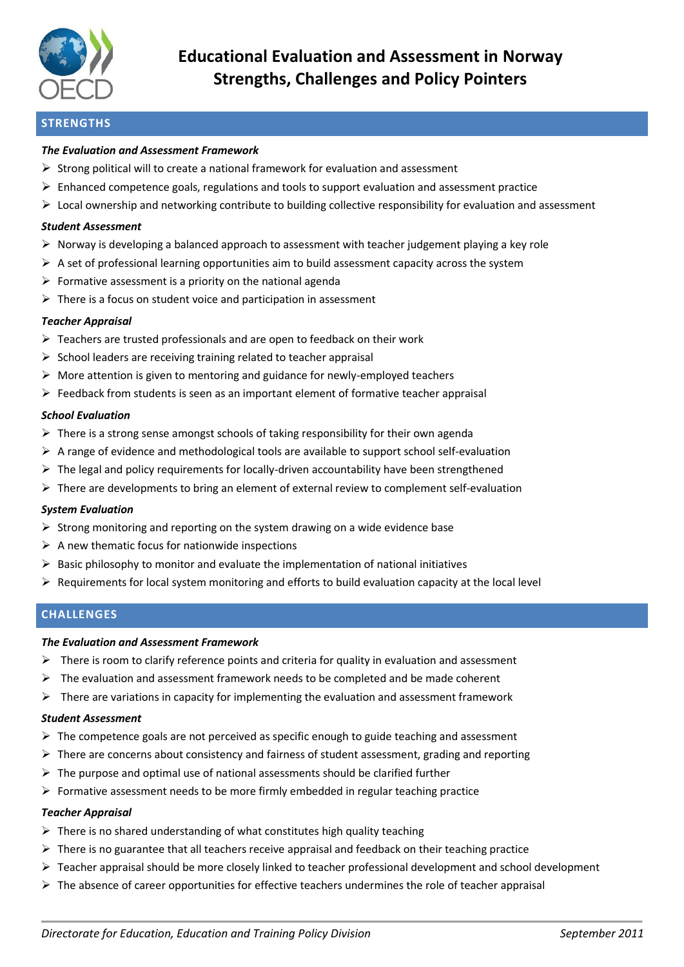

# **STRENGTHS**

## *The Evaluation and Assessment Framework*

- $\triangleright$  Strong political will to create a national framework for evaluation and assessment
- $\triangleright$  Enhanced competence goals, regulations and tools to support evaluation and assessment practice
- $\triangleright$  Local ownership and networking contribute to building collective responsibility for evaluation and assessment

#### *Student Assessment*

- $\triangleright$  Norway is developing a balanced approach to assessment with teacher judgement playing a key role
- $\triangleright$  A set of professional learning opportunities aim to build assessment capacity across the system
- $\triangleright$  Formative assessment is a priority on the national agenda
- $\triangleright$  There is a focus on student voice and participation in assessment

## *Teacher Appraisal*

- $\triangleright$  Teachers are trusted professionals and are open to feedback on their work
- $\triangleright$  School leaders are receiving training related to teacher appraisal
- $\triangleright$  More attention is given to mentoring and guidance for newly-employed teachers
- $\triangleright$  Feedback from students is seen as an important element of formative teacher appraisal

## *School Evaluation*

- $\triangleright$  There is a strong sense amongst schools of taking responsibility for their own agenda
- $\triangleright$  A range of evidence and methodological tools are available to support school self-evaluation
- $\triangleright$  The legal and policy requirements for locally-driven accountability have been strengthened
- $\triangleright$  There are developments to bring an element of external review to complement self-evaluation

## *System Evaluation*

- $\triangleright$  Strong monitoring and reporting on the system drawing on a wide evidence base
- $\triangleright$  A new thematic focus for nationwide inspections
- $\triangleright$  Basic philosophy to monitor and evaluate the implementation of national initiatives
- $\triangleright$  Requirements for local system monitoring and efforts to build evaluation capacity at the local level

# **CHALLENGES**

## *The Evaluation and Assessment Framework*

- $\triangleright$  There is room to clarify reference points and criteria for quality in evaluation and assessment
- $\triangleright$  The evaluation and assessment framework needs to be completed and be made coherent
- $\triangleright$  There are variations in capacity for implementing the evaluation and assessment framework

## *Student Assessment*

- $\triangleright$  The competence goals are not perceived as specific enough to guide teaching and assessment
- $\triangleright$  There are concerns about consistency and fairness of student assessment, grading and reporting
- $\triangleright$  The purpose and optimal use of national assessments should be clarified further
- $\triangleright$  Formative assessment needs to be more firmly embedded in regular teaching practice

## *Teacher Appraisal*

- $\triangleright$  There is no shared understanding of what constitutes high quality teaching
- $\triangleright$  There is no guarantee that all teachers receive appraisal and feedback on their teaching practice
- $\triangleright$  Teacher appraisal should be more closely linked to teacher professional development and school development
- $\triangleright$  The absence of career opportunities for effective teachers undermines the role of teacher appraisal